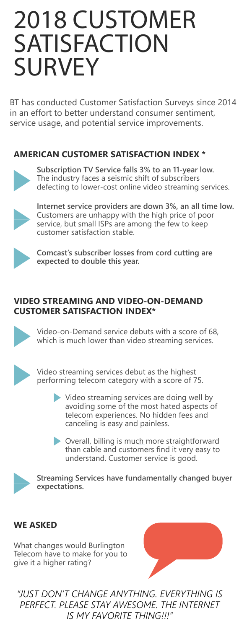# 2018 CUSTOMER **SATISFACTION SURVEY**

BT has conducted Customer Satisfaction Surveys since 2014 in an effort to better understand consumer sentiment, service usage, and potential service improvements.

## **AMERICAN CUSTOMER SATISFACTION INDEX \***



**Subscription TV Service falls 3% to an 11-year low.** The industry faces a seismic shift of subscribers defecting to lower-cost online video streaming services.



**Internet service providers are down 3%, an all time low.**  Customers are unhappy with the high price of poor service, but small ISPs are among the few to keep customer satisfaction stable.



**Comcast's subscriber losses from cord cutting are expected to double this year.**

## **VIDEO STREAMING AND VIDEO-ON-DEMAND CUSTOMER SATISFACTION INDEX\***



Video-on-Demand service debuts with a score of 68, which is much lower than video streaming services.



Video streaming services debut as the highest performing telecom category with a score of 75.

- Video streaming services are doing well by avoiding some of the most hated aspects of telecom experiences. No hidden fees and canceling is easy and painless.
	- Overall, billing is much more straightforward than cable and customers find it very easy to understand. Customer service is good.



**Streaming Services have fundamentally changed buyer expectations.**

## **WE ASKED**

What changes would Burlington Telecom have to make for you to give it a higher rating?



*"JUST DON'T CHANGE ANYTHING. EVERYTHING IS PERFECT. PLEASE STAY AWESOME. THE INTERNET IS MY FAVORITE THING!!!"*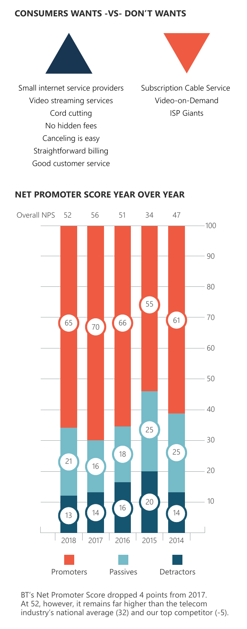#### **CONSUMERS WANTS -VS- DON'T WANTS**



Small internet service providers Video streaming services Cord cutting No hidden fees Canceling is easy Straightforward billing Good customer service



Subscription Cable Service Video-on-Demand ISP Giants



#### **NET PROMOTER SCORE YEAR OVER YEAR**

BT's Net Promoter Score dropped 4 points from 2017. At 52, however, it remains far higher than the telecom industry's national average (32) and our top competitor (-5).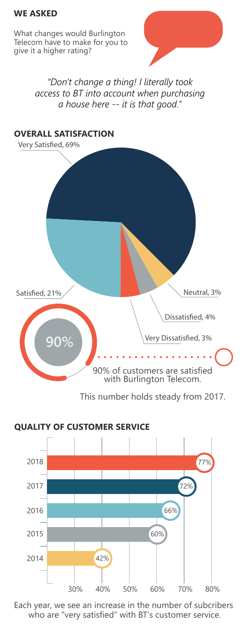#### **WE ASKED**

What changes would Burlington Telecom have to make for you to give it a higher rating?

> *"Don't change a thing! I literally took access to BT into account when purchasing a house here -- it is that good."*



This number holds steady from 2017.



Each year, we see an increase in the number of subcribers who are "very satisfied" with BT's customer service.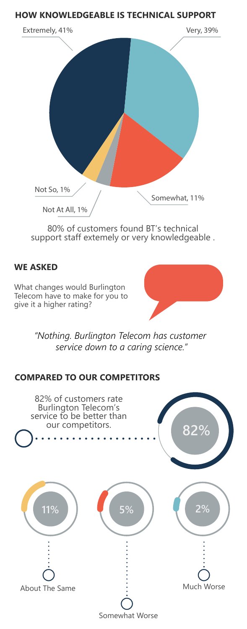#### **HOW KNOWLEDGEABLE IS TECHNICAL SUPPORT**



80% of customers found BT's technical support staff extemely or very knowledgeable .

#### **WE ASKED**

What changes would Burlington Telecom have to make for you to give it a higher rating?

> *"Nothing. Burlington Telecom has customer service down to a caring science."*

## **COMPARED TO OUR COMPETITORS**